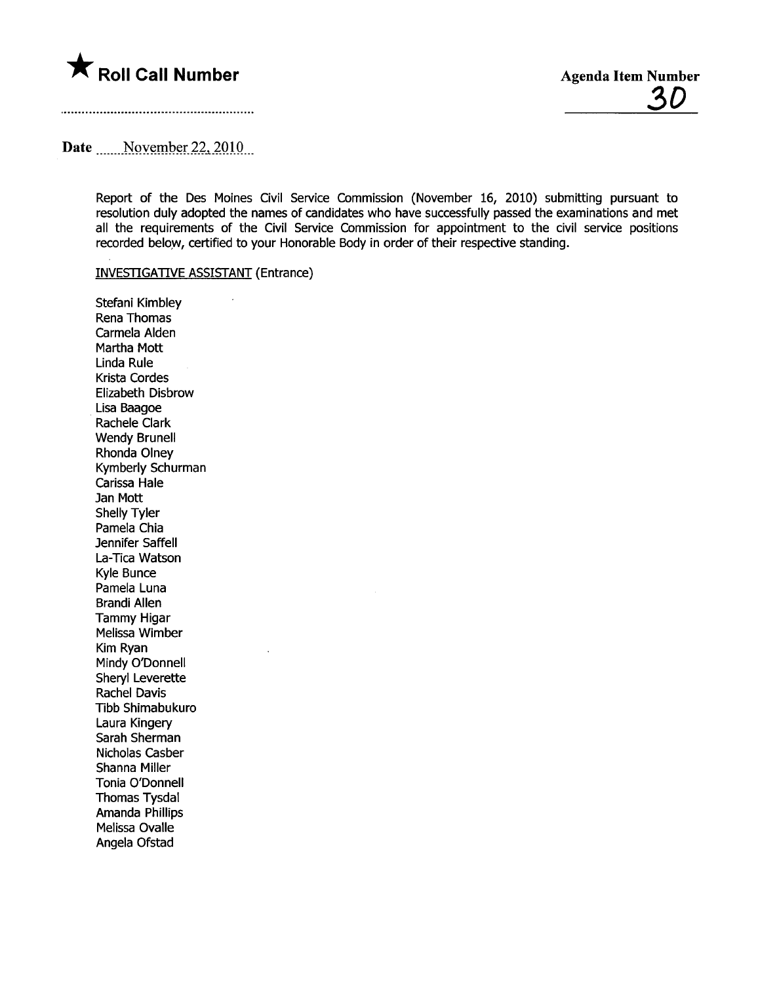

### Date  $\qquad$  November 22, 2010

Report of the Des Moines Civil Service Commission (November 16, 2010) submitting pursuant to resolution duly adopted the names of candidates who have successfully passed the examinations and met all the requirements of the Civil Service Commission for appointment to the civil service positions recorded below, certified to your Honorable Body in order of their respective standing.

### INVESTGATIVE ASSISTANT (Entrance)

Stefani Kimbley Rena Thomas Carmela Alden Martha Mott Linda Rule Krista Cordes Elizabeth Disbrow . Lisa Baagoe Rachele Clark Wendy Brunell Rhonda Olney Kymberly Schurman Carissa Hale Jan Mott Shelly Tyler Pamela Chia Jennifer Saffell La-Tica Watson Kyle Bunce Pamela Luna Brandi Allen Tammy Higar Melissa Wimber Kim Ryan Mindy O'Donnell Sheryl Leverette Rachel Davis Tibb Shimabukuro Laura Kingery Sarah Sherman Nicholas Casber Shanna Miler Tonia O'Donnell Thomas Tysdal Amanda Phillips Melissa Ovalle Angela Ofstad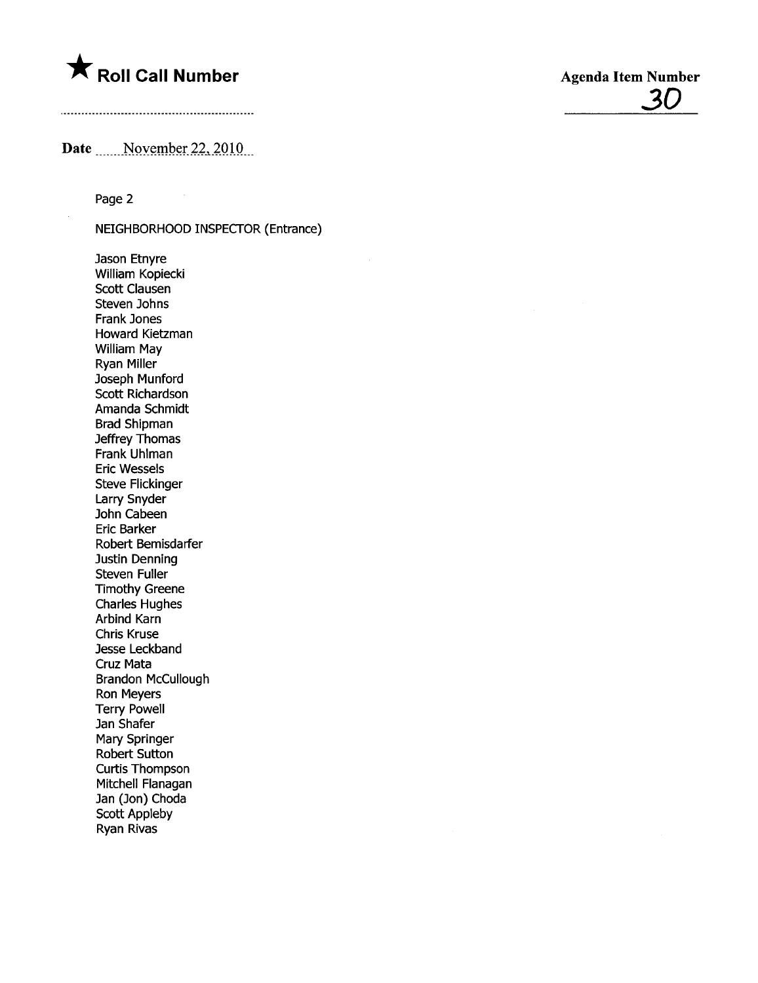## **\*** Roll Call Number Agenda Item Number

# 30

### Date \_\_\_\_\_November 22, 2010

Page 2

NEIGHBORHOOD INSPECTOR (Entrance)

Jason Etnyre William Kopiecki Scott Clausen Steven Johns Frank Jones Howard Kietzman William May Ryan Miler Joseph Munford Scott Richardson Amanda Schmidt Brad Shipman Jeffrey Thomas Frank Uhlman Eric Wessels Steve Flickinger Larry Snyder John Cabeen Eric Barker Robert Bemisdarfer Justin Denning Steven Fuller Timothy Greene Charles Hughes Arbind Karn Chris Kruse Jesse Leckband Cruz Mata Brandon McCullough Ron Meyers Terry Powell Jan Shafer Mary Springer Robert Sutton Curtis Thompson Mitchell Flanagan Jan (Jon) Choda Scott Appleby Ryan Rivas